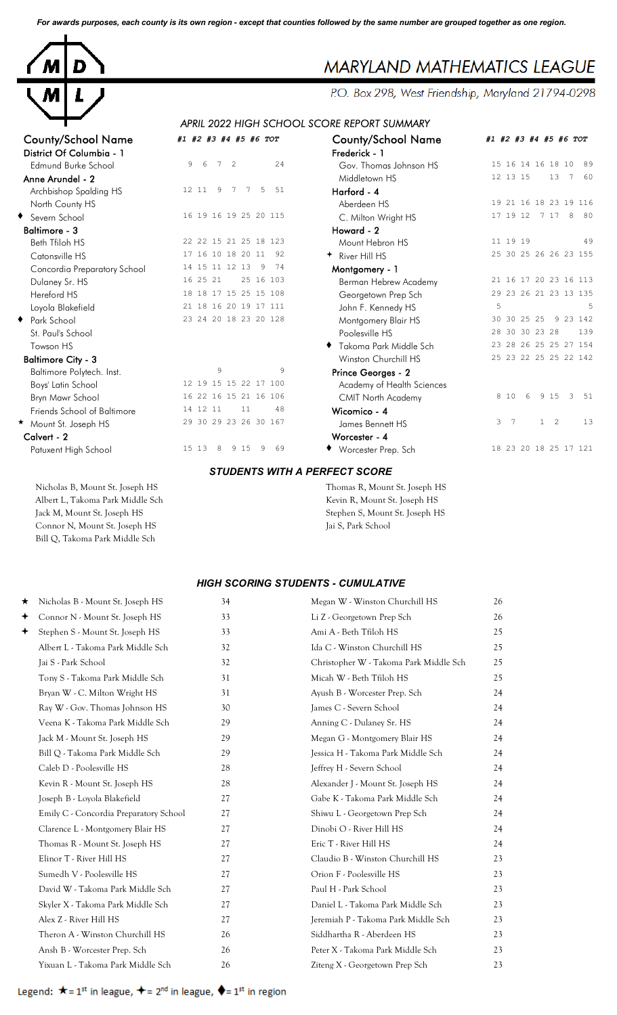*For awards purposes, each county is its own region - except that counties followed by the same number are grouped together as one region.*



## **MARYLAND MATHEMATICS LEAGUE**

P.O. Box 298, West Friendship, Maryland 21794-0298

## *APRIL 2022 HIGH SCHOOL SCORE REPORT SUMMARY* County/School Name *#1 #2 #3 #4 #5 #6 TOT* County/School Name *#1 #2 #3 #4 #5 #6 TOT*

| <b>County/School Name</b>    | #1 #2 #3 #4 #5 #6 TOT         | <b>County/School Name</b>   | #1 #2 #3 #4 #5 #6 TOT               |
|------------------------------|-------------------------------|-----------------------------|-------------------------------------|
| District Of Columbia - 1     |                               | Frederick - 1               |                                     |
| Edmund Burke School          | 9<br>24<br>6<br>7<br>2        | Gov. Thomas Johnson HS      | 15 16 14 16 18 10<br>89             |
| Anne Arundel - 2             |                               | Middletown HS               | 12 13 15<br>13<br>7 60              |
| Archbishop Spalding HS       | 51<br>12 11<br>-9<br>5<br>7   | Harford - 4                 |                                     |
| North County HS              |                               | Aberdeen HS                 | 19 21 16 18 23 19 116               |
| ◆ Severn School              | 16 19 16 19 25 20 115         | C. Milton Wright HS         | 17 19 12 7 17<br>8 80               |
| <b>Baltimore - 3</b>         |                               | Howard - 2                  |                                     |
| Beth Tfiloh HS               | 22 22 15 21 25 18 123         | Mount Hebron HS             | 11 19 19<br>49                      |
| Catonsville HS               | 17 16 10 18 20 11 92          | + River Hill HS             | 25 30 25 26 26 23 155               |
| Concordia Preparatory School | 14 15 11 12 13<br>74<br>-9    | Montgomery - 1              |                                     |
| Dulaney Sr. HS               | 16 25 21<br>25 16 103         | Berman Hebrew Academy       | 21 16 17 20 23 16 113               |
| Hereford HS                  | 18 18 17 15 25 15 108         | Georgetown Prep Sch         | 29 23 26 21 23 13 135               |
| Loyola Blakefield            | 21 18 16 20 19 17 111         | John F. Kennedy HS          | 5                                   |
| ◆ Park School                | 23 24 20 18 23 20 128         | Montgomery Blair HS         | 9 23 142<br>30 30 25 25             |
| St. Paul's School            |                               | Poolesville HS              | 28 30 30 23 28<br>139               |
| Towson HS                    |                               | Takoma Park Middle Sch      | 23 28 26 25 25 27 154               |
| <b>Baltimore City - 3</b>    |                               | <b>Winston Churchill HS</b> | 25 23 22 25 25 22 142               |
| Baltimore Polytech. Inst.    | 9<br>9                        | Prince Georges - 2          |                                     |
| Boys' Latin School           | 12 19 15 15 22 17 100         | Academy of Health Sciences  |                                     |
| Bryn Mawr School             | 16 22 16 15 21 16 106         | <b>CMIT North Academy</b>   | 3 51<br>8 1 0<br>6<br>9 15          |
| Friends School of Baltimore  | 14 12 11<br>11<br>48          | Wicomico - 4                |                                     |
| Mount St. Joseph HS          | 29 30 29 23 26 30 167         | James Bennett HS            | 3 <sub>7</sub><br>$1 \quad 2$<br>13 |
| Calvert - 2                  |                               | Worcester - 4               |                                     |
| Patuxent High School         | 69<br>15 13<br>8<br>9 15<br>9 | ◆ Worcester Prep. Sch       | 18 23 20 18 25 17 121               |

Nicholas B, Mount St. Joseph HS Thomas R, Mount St. Joseph HS Albert L, Takoma Park Middle Sch Kevin R, Mount St. Joseph HS Jack M, Mount St. Joseph HS Stephen S, Mount St. Joseph HS

Bill Q, Takoma Park Middle Sch

*STUDENTS WITH A PERFECT SCORE*

Connor N, Mount St. Joseph HS Jai S, Park School

## *HIGH SCORING STUDENTS - CUMULATIVE*

| ★ | Nicholas B - Mount St. Joseph HS       | 34 | Megan W - Winston Churchill HS         | 26 |
|---|----------------------------------------|----|----------------------------------------|----|
| ✦ | Connor N - Mount St. Joseph HS         | 33 | Li Z - Georgetown Prep Sch             | 26 |
| ✦ | Stephen S - Mount St. Joseph HS        | 33 | Ami A - Beth Tfiloh HS                 | 25 |
|   | Albert L - Takoma Park Middle Sch      | 32 | Ida C - Winston Churchill HS           | 25 |
|   | Jai S - Park School                    | 32 | Christopher W - Takoma Park Middle Sch | 25 |
|   | Tony S - Takoma Park Middle Sch        | 31 | Micah W - Beth Tfiloh HS               | 25 |
|   | Bryan W - C. Milton Wright HS          | 31 | Ayush B - Worcester Prep. Sch          | 24 |
|   | Ray W - Gov. Thomas Johnson HS         | 30 | James C - Severn School                | 24 |
|   | Veena K - Takoma Park Middle Sch       | 29 | Anning C - Dulaney Sr. HS              | 24 |
|   | Jack M - Mount St. Joseph HS           | 29 | Megan G - Montgomery Blair HS          | 24 |
|   | Bill Q - Takoma Park Middle Sch        | 29 | Jessica H - Takoma Park Middle Sch     | 24 |
|   | Caleb D - Poolesville HS               | 28 | Jeffrey H - Severn School              | 24 |
|   | Kevin R - Mount St. Joseph HS          | 28 | Alexander J - Mount St. Joseph HS      | 24 |
|   | Joseph B - Loyola Blakefield           | 27 | Gabe K - Takoma Park Middle Sch        | 24 |
|   | Emily C - Concordia Preparatory School | 27 | Shiwu L - Georgetown Prep Sch          | 24 |
|   | Clarence L - Montgomery Blair HS       | 27 | Dinobi O - River Hill HS               | 24 |
|   | Thomas R - Mount St. Joseph HS         | 27 | Eric T - River Hill HS                 | 24 |
|   | Elinor T - River Hill HS               | 27 | Claudio B - Winston Churchill HS       | 23 |
|   | Sumedh V - Poolesville HS              | 27 | Orion F - Poolesville HS               | 23 |
|   | David W - Takoma Park Middle Sch       | 27 | Paul H - Park School                   | 23 |
|   | Skyler X - Takoma Park Middle Sch      | 27 | Daniel L - Takoma Park Middle Sch      | 23 |
|   | Alex Z - River Hill HS                 | 27 | Jeremiah P - Takoma Park Middle Sch    | 23 |
|   | Theron A - Winston Churchill HS        | 26 | Siddhartha R - Aberdeen HS             | 23 |
|   | Ansh B - Worcester Prep. Sch           | 26 | Peter X - Takoma Park Middle Sch       | 23 |
|   | Yixuan L - Takoma Park Middle Sch      | 26 | Ziteng X - Georgetown Prep Sch         | 23 |